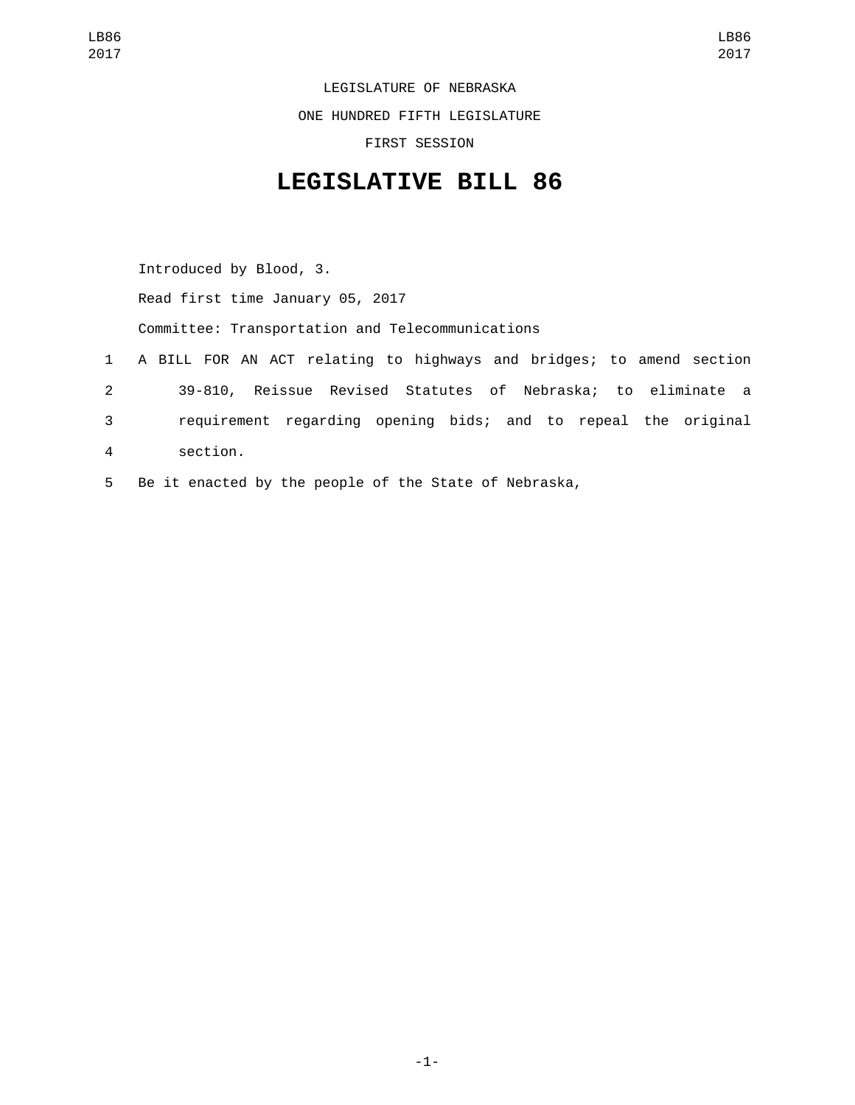LEGISLATURE OF NEBRASKA

ONE HUNDRED FIFTH LEGISLATURE

FIRST SESSION

## **LEGISLATIVE BILL 86**

Introduced by Blood, 3. Read first time January 05, 2017 Committee: Transportation and Telecommunications 1 A BILL FOR AN ACT relating to highways and bridges; to amend section 2 39-810, Reissue Revised Statutes of Nebraska; to eliminate a 3 requirement regarding opening bids; and to repeal the original section.4 5 Be it enacted by the people of the State of Nebraska,